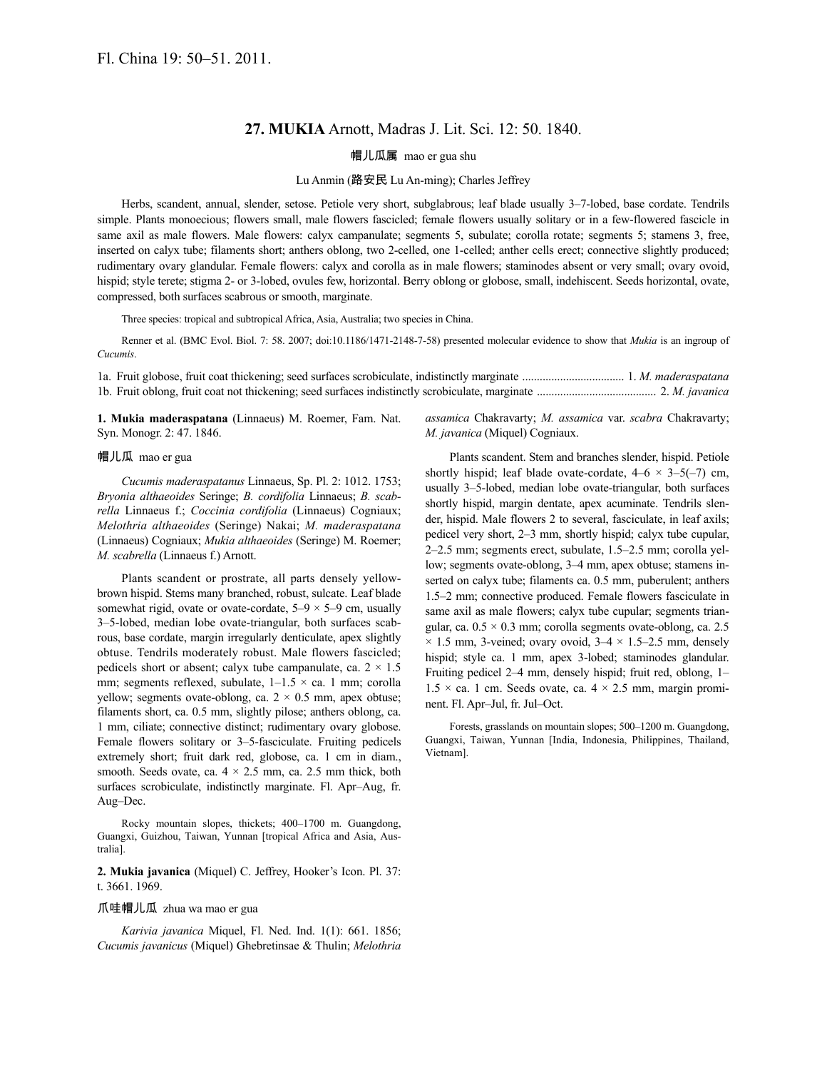# **27. MUKIA** Arnott, Madras J. Lit. Sci. 12: 50. 1840.

# 帽儿瓜属 mao er gua shu

### Lu Anmin (路安民 Lu An-ming); Charles Jeffrey

Herbs, scandent, annual, slender, setose. Petiole very short, subglabrous; leaf blade usually 3–7-lobed, base cordate. Tendrils simple. Plants monoecious; flowers small, male flowers fascicled; female flowers usually solitary or in a few-flowered fascicle in same axil as male flowers. Male flowers: calyx campanulate; segments 5, subulate; corolla rotate; segments 5; stamens 3, free, inserted on calyx tube; filaments short; anthers oblong, two 2-celled, one 1-celled; anther cells erect; connective slightly produced; rudimentary ovary glandular. Female flowers: calyx and corolla as in male flowers; staminodes absent or very small; ovary ovoid, hispid; style terete; stigma 2- or 3-lobed, ovules few, horizontal. Berry oblong or globose, small, indehiscent. Seeds horizontal, ovate, compressed, both surfaces scabrous or smooth, marginate.

Three species: tropical and subtropical Africa, Asia, Australia; two species in China.

Renner et al. (BMC Evol. Biol. 7: 58. 2007; doi:10.1186/1471-2148-7-58) presented molecular evidence to show that *Mukia* is an ingroup of *Cucumis*.

1a. Fruit globose, fruit coat thickening; seed surfaces scrobiculate, indistinctly marginate ................................... 1. *M. maderaspatana* 1b. Fruit oblong, fruit coat not thickening; seed surfaces indistinctly scrobiculate, marginate ......................................... 2. *M. javanica*

**1. Mukia maderaspatana** (Linnaeus) M. Roemer, Fam. Nat. Syn. Monogr. 2: 47. 1846.

#### 帽儿瓜 mao er gua

*Cucumis maderaspatanus* Linnaeus, Sp. Pl. 2: 1012. 1753; *Bryonia althaeoides* Seringe; *B. cordifolia* Linnaeus; *B. scabrella* Linnaeus f.; *Coccinia cordifolia* (Linnaeus) Cogniaux; *Melothria althaeoides* (Seringe) Nakai; *M. maderaspatana* (Linnaeus) Cogniaux; *Mukia althaeoides* (Seringe) M. Roemer; *M. scabrella* (Linnaeus f.) Arnott.

Plants scandent or prostrate, all parts densely yellowbrown hispid. Stems many branched, robust, sulcate. Leaf blade somewhat rigid, ovate or ovate-cordate,  $5-9 \times 5-9$  cm, usually 3–5-lobed, median lobe ovate-triangular, both surfaces scabrous, base cordate, margin irregularly denticulate, apex slightly obtuse. Tendrils moderately robust. Male flowers fascicled; pedicels short or absent; calyx tube campanulate, ca.  $2 \times 1.5$ mm; segments reflexed, subulate,  $1-1.5 \times ca$ . 1 mm; corolla yellow; segments ovate-oblong, ca.  $2 \times 0.5$  mm, apex obtuse; filaments short, ca. 0.5 mm, slightly pilose; anthers oblong, ca. 1 mm, ciliate; connective distinct; rudimentary ovary globose. Female flowers solitary or 3–5-fasciculate. Fruiting pedicels extremely short; fruit dark red, globose, ca. 1 cm in diam., smooth. Seeds ovate, ca.  $4 \times 2.5$  mm, ca. 2.5 mm thick, both surfaces scrobiculate, indistinctly marginate. Fl. Apr–Aug, fr. Aug–Dec.

Rocky mountain slopes, thickets; 400–1700 m. Guangdong, Guangxi, Guizhou, Taiwan, Yunnan [tropical Africa and Asia, Australia].

**2. Mukia javanica** (Miquel) C. Jeffrey, Hooker's Icon. Pl. 37: t. 3661. 1969.

### 爪哇帽儿瓜 zhua wa mao er gua

*Karivia javanica* Miquel, Fl. Ned. Ind. 1(1): 661. 1856; *Cucumis javanicus* (Miquel) Ghebretinsae & Thulin; *Melothria*  *assamica* Chakravarty; *M. assamica* var. *scabra* Chakravarty; *M. javanica* (Miquel) Cogniaux.

Plants scandent. Stem and branches slender, hispid. Petiole shortly hispid; leaf blade ovate-cordate,  $4-6 \times 3-5(-7)$  cm, usually 3–5-lobed, median lobe ovate-triangular, both surfaces shortly hispid, margin dentate, apex acuminate. Tendrils slender, hispid. Male flowers 2 to several, fasciculate, in leaf axils; pedicel very short, 2–3 mm, shortly hispid; calyx tube cupular, 2–2.5 mm; segments erect, subulate, 1.5–2.5 mm; corolla yellow; segments ovate-oblong, 3–4 mm, apex obtuse; stamens inserted on calyx tube; filaments ca. 0.5 mm, puberulent; anthers 1.5–2 mm; connective produced. Female flowers fasciculate in same axil as male flowers; calyx tube cupular; segments triangular, ca.  $0.5 \times 0.3$  mm; corolla segments ovate-oblong, ca. 2.5  $\times$  1.5 mm, 3-veined; ovary ovoid, 3–4  $\times$  1.5–2.5 mm, densely hispid; style ca. 1 mm, apex 3-lobed; staminodes glandular. Fruiting pedicel 2–4 mm, densely hispid; fruit red, oblong, 1–  $1.5 \times$  ca. 1 cm. Seeds ovate, ca.  $4 \times 2.5$  mm, margin prominent. Fl. Apr–Jul, fr. Jul–Oct.

Forests, grasslands on mountain slopes; 500–1200 m. Guangdong, Guangxi, Taiwan, Yunnan [India, Indonesia, Philippines, Thailand, Vietnam].